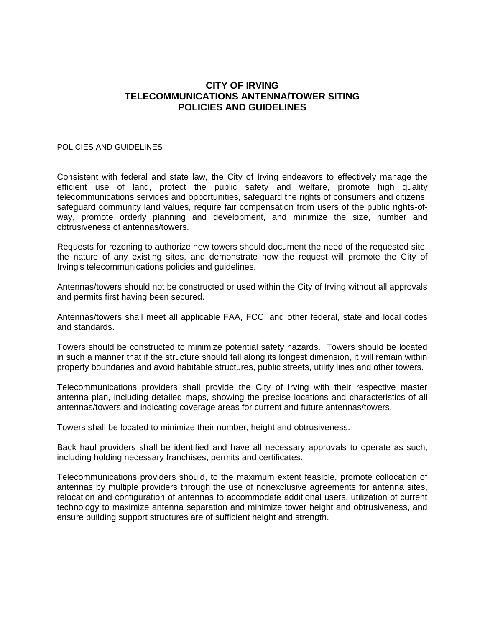## **CITY OF IRVING TELECOMMUNICATIONS ANTENNA/TOWER SITING POLICIES AND GUIDELINES**

## POLICIES AND GUIDELINES

Consistent with federal and state law, the City of Irving endeavors to effectively manage the efficient use of land, protect the public safety and welfare, promote high quality telecommunications services and opportunities, safeguard the rights of consumers and citizens, safeguard community land values, require fair compensation from users of the public rights-ofway, promote orderly planning and development, and minimize the size, number and obtrusiveness of antennas/towers.

Requests for rezoning to authorize new towers should document the need of the requested site, the nature of any existing sites, and demonstrate how the request will promote the City of Irving's telecommunications policies and guidelines.

Antennas/towers should not be constructed or used within the City of Irving without all approvals and permits first having been secured.

Antennas/towers shall meet all applicable FAA, FCC, and other federal, state and local codes and standards.

Towers should be constructed to minimize potential safety hazards. Towers should be located in such a manner that if the structure should fall along its longest dimension, it will remain within property boundaries and avoid habitable structures, public streets, utility lines and other towers.

Telecommunications providers shall provide the City of Irving with their respective master antenna plan, including detailed maps, showing the precise locations and characteristics of all antennas/towers and indicating coverage areas for current and future antennas/towers.

Towers shall be located to minimize their number, height and obtrusiveness.

Back haul providers shall be identified and have all necessary approvals to operate as such, including holding necessary franchises, permits and certificates.

Telecommunications providers should, to the maximum extent feasible, promote collocation of antennas by multiple providers through the use of nonexclusive agreements for antenna sites, relocation and configuration of antennas to accommodate additional users, utilization of current technology to maximize antenna separation and minimize tower height and obtrusiveness, and ensure building support structures are of sufficient height and strength.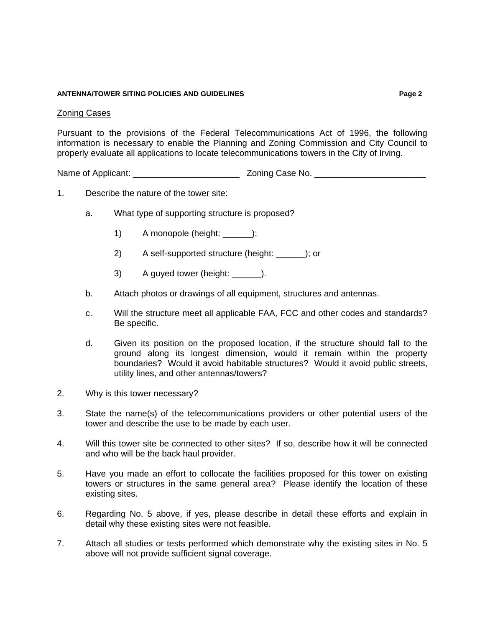## **ANTENNA/TOWER SITING POLICIES AND GUIDELINES Page 2**

Pursuant to the provisions of the Federal Telecommunications Act of 1996, the following information is necessary to enable the Planning and Zoning Commission and City Council to properly evaluate all applications to locate telecommunications towers in the City of Irving.

Name of Applicant: \_\_\_\_\_\_\_\_\_\_\_\_\_\_\_\_\_\_\_\_\_\_ Zoning Case No. \_\_\_\_\_\_\_\_\_\_\_\_\_\_\_\_\_\_\_\_\_\_\_

- 1. Describe the nature of the tower site:
	- a. What type of supporting structure is proposed?
		- 1) A monopole (height: );
		- 2) A self-supported structure (height: \_\_\_\_\_\_); or
		- 3) A guyed tower (height:  $\qquad$ ).
	- b. Attach photos or drawings of all equipment, structures and antennas.
	- c. Will the structure meet all applicable FAA, FCC and other codes and standards? Be specific.
	- d. Given its position on the proposed location, if the structure should fall to the ground along its longest dimension, would it remain within the property boundaries? Would it avoid habitable structures? Would it avoid public streets, utility lines, and other antennas/towers?
- 2. Why is this tower necessary?
- 3. State the name(s) of the telecommunications providers or other potential users of the tower and describe the use to be made by each user.
- 4. Will this tower site be connected to other sites? If so, describe how it will be connected and who will be the back haul provider.
- 5. Have you made an effort to collocate the facilities proposed for this tower on existing towers or structures in the same general area? Please identify the location of these existing sites.
- 6. Regarding No. 5 above, if yes, please describe in detail these efforts and explain in detail why these existing sites were not feasible.
- 7. Attach all studies or tests performed which demonstrate why the existing sites in No. 5 above will not provide sufficient signal coverage.